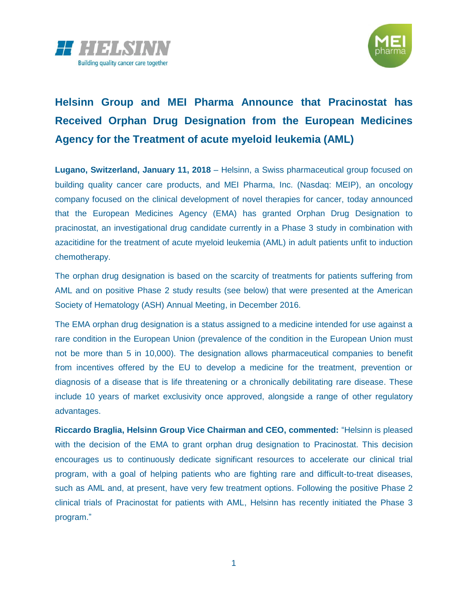



# **Helsinn Group and MEI Pharma Announce that Pracinostat has Received Orphan Drug Designation from the European Medicines Agency for the Treatment of acute myeloid leukemia (AML)**

**Lugano, Switzerland, January 11, 2018** – Helsinn, a Swiss pharmaceutical group focused on building quality cancer care products, and MEI Pharma, Inc. (Nasdaq: MEIP), an oncology company focused on the clinical development of novel therapies for cancer, today announced that the European Medicines Agency (EMA) has granted Orphan Drug Designation to pracinostat, an investigational drug candidate currently in a Phase 3 study in combination with azacitidine for the treatment of acute myeloid leukemia (AML) in adult patients unfit to induction chemotherapy.

The orphan drug designation is based on the scarcity of treatments for patients suffering from AML and on positive Phase 2 study results (see below) that were presented at the American Society of Hematology (ASH) Annual Meeting, in December 2016.

The EMA orphan drug designation is a status assigned to a medicine intended for use against a rare condition in the European Union (prevalence of the condition in the European Union must not be more than 5 in 10,000). The designation allows pharmaceutical companies to benefit from incentives offered by the EU to develop a medicine for the treatment, prevention or diagnosis of a disease that is life threatening or a chronically debilitating rare disease. These include 10 years of market exclusivity once approved, alongside a range of other regulatory advantages.

**Riccardo Braglia, Helsinn Group Vice Chairman and CEO, commented:** "Helsinn is pleased with the decision of the EMA to grant orphan drug designation to Pracinostat. This decision encourages us to continuously dedicate significant resources to accelerate our clinical trial program, with a goal of helping patients who are fighting rare and difficult-to-treat diseases, such as AML and, at present, have very few treatment options. Following the positive Phase 2 clinical trials of Pracinostat for patients with AML, Helsinn has recently initiated the Phase 3 program."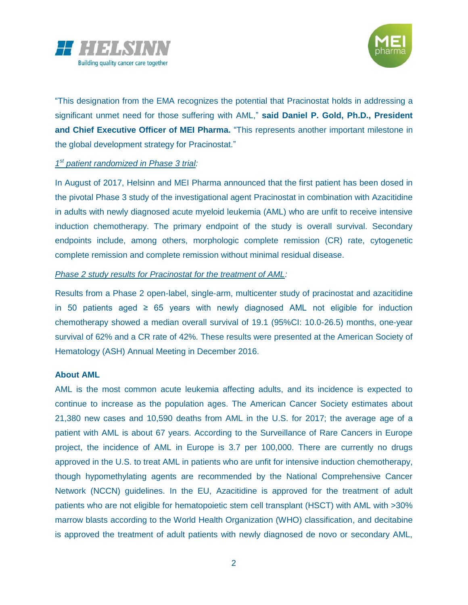



"This designation from the EMA recognizes the potential that Pracinostat holds in addressing a significant unmet need for those suffering with AML," **said Daniel P. Gold, Ph.D., President and Chief Executive Officer of MEI Pharma.** "This represents another important milestone in the global development strategy for Pracinostat."

#### *1 st patient randomized in Phase 3 trial:*

In August of 2017, Helsinn and MEI Pharma announced that the first patient has been dosed in the pivotal Phase 3 study of the investigational agent Pracinostat in combination with Azacitidine in adults with newly diagnosed acute myeloid leukemia (AML) who are unfit to receive intensive induction chemotherapy. The primary endpoint of the study is overall survival. Secondary endpoints include, among others, morphologic complete remission (CR) rate, cytogenetic complete remission and complete remission without minimal residual disease.

#### *Phase 2 study results for Pracinostat for the treatment of AML:*

Results from a Phase 2 open-label, single-arm, multicenter study of pracinostat and azacitidine in 50 patients aged ≥ 65 years with newly diagnosed AML not eligible for induction chemotherapy showed a median overall survival of 19.1 (95%CI: 10.0-26.5) months, one-year survival of 62% and a CR rate of 42%. These results were presented at the American Society of Hematology (ASH) Annual Meeting in December 2016.

#### **About AML**

AML is the most common acute leukemia affecting adults, and its incidence is expected to continue to increase as the population ages. The American Cancer Society estimates about 21,380 new cases and 10,590 deaths from AML in the U.S. for 2017; the average age of a patient with AML is about 67 years. According to the Surveillance of Rare Cancers in Europe project, the incidence of AML in Europe is 3.7 per 100,000. There are currently no drugs approved in the U.S. to treat AML in patients who are unfit for intensive induction chemotherapy, though hypomethylating agents are recommended by the National Comprehensive Cancer Network (NCCN) guidelines. In the EU, Azacitidine is approved for the treatment of adult patients who are not eligible for hematopoietic stem cell transplant (HSCT) with AML with >30% marrow blasts according to the World Health Organization (WHO) classification, and decitabine is approved the treatment of adult patients with newly diagnosed de novo or secondary AML,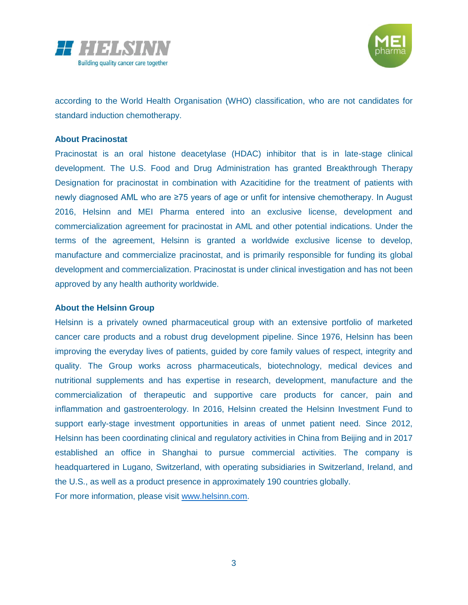



according to the World Health Organisation (WHO) classification, who are not candidates for standard induction chemotherapy.

#### **About Pracinostat**

Pracinostat is an oral histone deacetylase (HDAC) inhibitor that is in late-stage clinical development. The U.S. Food and Drug Administration has granted Breakthrough Therapy Designation for pracinostat in combination with Azacitidine for the treatment of patients with newly diagnosed AML who are ≥75 years of age or unfit for intensive chemotherapy. In August 2016, Helsinn and MEI Pharma entered into an exclusive license, development and commercialization agreement for pracinostat in AML and other potential indications. Under the terms of the agreement, Helsinn is granted a worldwide exclusive license to develop, manufacture and commercialize pracinostat, and is primarily responsible for funding its global development and commercialization. Pracinostat is under clinical investigation and has not been approved by any health authority worldwide.

#### **About the Helsinn Group**

Helsinn is a privately owned pharmaceutical group with an extensive portfolio of marketed cancer care products and a robust drug development pipeline. Since 1976, Helsinn has been improving the everyday lives of patients, guided by core family values of respect, integrity and quality. The Group works across pharmaceuticals, biotechnology, medical devices and nutritional supplements and has expertise in research, development, manufacture and the commercialization of therapeutic and supportive care products for cancer, pain and inflammation and gastroenterology. In 2016, Helsinn created the Helsinn Investment Fund to support early-stage investment opportunities in areas of unmet patient need. Since 2012, Helsinn has been coordinating clinical and regulatory activities in China from Beijing and in 2017 established an office in Shanghai to pursue commercial activities. The company is headquartered in Lugano, Switzerland, with operating subsidiaries in Switzerland, Ireland, and the U.S., as well as a product presence in approximately 190 countries globally. For more information, please visit [www.helsinn.com.](http://www.helsinn.com/)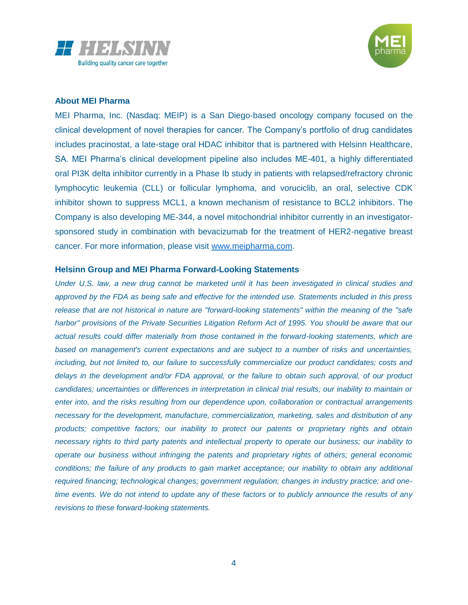



#### **About MEI Pharma**

MEI Pharma, Inc. (Nasdaq: MEIP) is a San Diego-based oncology company focused on the clinical development of novel therapies for cancer. The Company's portfolio of drug candidates includes pracinostat, a late-stage oral HDAC inhibitor that is partnered with Helsinn Healthcare, SA. MEI Pharma's clinical development pipeline also includes ME-401, a highly differentiated oral PI3K delta inhibitor currently in a Phase Ib study in patients with relapsed/refractory chronic lymphocytic leukemia (CLL) or follicular lymphoma, and voruciclib, an oral, selective CDK inhibitor shown to suppress MCL1, a known mechanism of resistance to BCL2 inhibitors. The Company is also developing ME-344, a novel mitochondrial inhibitor currently in an investigatorsponsored study in combination with bevacizumab for the treatment of HER2-negative breast cancer. For more information, please visit [www.meipharma.com.](http://www.meipharma.com/)

#### **Helsinn Group and MEI Pharma Forward-Looking Statements**

*Under U.S. law, a new drug cannot be marketed until it has been investigated in clinical studies and approved by the FDA as being safe and effective for the intended use. Statements included in this press release that are not historical in nature are "forward-looking statements" within the meaning of the "safe harbor" provisions of the Private Securities Litigation Reform Act of 1995. You should be aware that our actual results could differ materially from those contained in the forward-looking statements, which are based on management's current expectations and are subject to a number of risks and uncertainties, including, but not limited to, our failure to successfully commercialize our product candidates; costs and delays in the development and/or FDA approval, or the failure to obtain such approval, of our product candidates; uncertainties or differences in interpretation in clinical trial results; our inability to maintain or enter into, and the risks resulting from our dependence upon, collaboration or contractual arrangements necessary for the development, manufacture, commercialization, marketing, sales and distribution of any products; competitive factors; our inability to protect our patents or proprietary rights and obtain necessary rights to third party patents and intellectual property to operate our business; our inability to operate our business without infringing the patents and proprietary rights of others; general economic conditions; the failure of any products to gain market acceptance; our inability to obtain any additional required financing; technological changes; government regulation; changes in industry practice; and onetime events. We do not intend to update any of these factors or to publicly announce the results of any revisions to these forward-looking statements.*